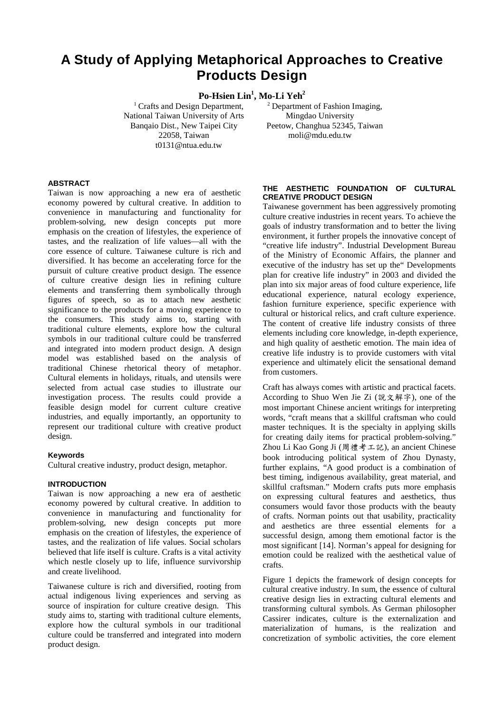# **A Study of Applying Metaphorical Approaches to Creative Products Design**

# **Po-Hsien Lin<sup>1</sup> , Mo-Li Yeh<sup>2</sup>**

<sup>1</sup> Crafts and Design Department, National Taiwan University of Arts Banqaio Dist., New Taipei City 22058, Taiwan t0131@ntua.edu.tw

<sup>2</sup> Department of Fashion Imaging, Mingdao University Peetow, Changhua 52345, Taiwan moli@mdu.edu.tw

## **ABSTRACT**

Taiwan is now approaching a new era of aesthetic economy powered by cultural creative. In addition to convenience in manufacturing and functionality for problem-solving, new design concepts put more emphasis on the creation of lifestyles, the experience of tastes, and the realization of life values—all with the core essence of culture. Taiwanese culture is rich and diversified. It has become an accelerating force for the pursuit of culture creative product design. The essence of culture creative design lies in refining culture elements and transferring them symbolically through figures of speech, so as to attach new aesthetic significance to the products for a moving experience to the consumers. This study aims to, starting with traditional culture elements, explore how the cultural symbols in our traditional culture could be transferred and integrated into modern product design. A design model was established based on the analysis of traditional Chinese rhetorical theory of metaphor. Cultural elements in holidays, rituals, and utensils were selected from actual case studies to illustrate our investigation process. The results could provide a feasible design model for current culture creative industries, and equally importantly, an opportunity to represent our traditional culture with creative product design.

#### **Keywords**

Cultural creative industry, product design, metaphor.

#### **INTRODUCTION**

Taiwan is now approaching a new era of aesthetic economy powered by cultural creative. In addition to convenience in manufacturing and functionality for problem-solving, new design concepts put more emphasis on the creation of lifestyles, the experience of tastes, and the realization of life values. Social scholars believed that life itself is culture. Crafts is a vital activity which nestle closely up to life, influence survivorship and create livelihood.

Taiwanese culture is rich and diversified, rooting from actual indigenous living experiences and serving as source of inspiration for culture creative design. This study aims to, starting with traditional culture elements, explore how the cultural symbols in our traditional culture could be transferred and integrated into modern product design.

#### **THE AESTHETIC FOUNDATION OF CULTURAL CREATIVE PRODUCT DESIGN**

Taiwanese government has been aggressively promoting culture creative industries in recent years. To achieve the goals of industry transformation and to better the living environment, it further propels the innovative concept of "creative life industry". Industrial Development Bureau of the Ministry of Economic Affairs, the planner and executive of the industry has set up the" Developments plan for creative life industry" in 2003 and divided the plan into six major areas of food culture experience, life educational experience, natural ecology experience, fashion furniture experience, specific experience with cultural or historical relics, and craft culture experience. The content of creative life industry consists of three elements including core knowledge, in-depth experience, and high quality of aesthetic emotion. The main idea of creative life industry is to provide customers with vital experience and ultimately elicit the sensational demand from customers.

Craft has always comes with artistic and practical facets. According to Shuo Wen Jie Zi (說文解字), one of the most important Chinese ancient writings for interpreting words, "craft means that a skillful craftsman who could master techniques. It is the specialty in applying skills for creating daily items for practical problem-solving." Zhou Li Kao Gong Ji (周禮考工記), an ancient Chinese book introducing political system of Zhou Dynasty, further explains, "A good product is a combination of best timing, indigenous availability, great material, and skillful craftsman." Modern crafts puts more emphasis on expressing cultural features and aesthetics, thus consumers would favor those products with the beauty of crafts. Norman points out that usability, practicality and aesthetics are three essential elements for a successful design, among them emotional factor is the most significant [14]. Norman's appeal for designing for emotion could be realized with the aesthetical value of crafts.

Figure 1 depicts the framework of design concepts for cultural creative industry. In sum, the essence of cultural creative design lies in extracting cultural elements and transforming cultural symbols. As German philosopher Cassirer indicates, culture is the externalization and materialization of humans, is the realization and concretization of symbolic activities, the core element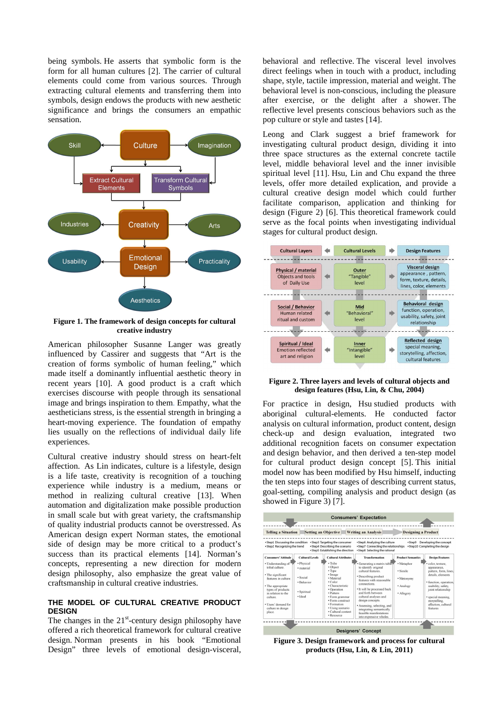being symbols. He asserts that symbolic form is the form for all human cultures [2]. The carrier of cultural elements could come from various sources. Through extracting cultural elements and transferring them into symbols, design endows the products with new aesthetic significance and brings the consumers an empathic sensation.



**Figure 1. The framework of design concepts for cultural creative industry** 

American philosopher Susanne Langer was greatly influenced by Cassirer and suggests that "Art is the creation of forms symbolic of human feeling," which made itself a dominantly influential aesthetic theory in recent years [10]. A good product is a craft which exercises discourse with people through its sensational image and brings inspiration to them. Empathy, what the aestheticians stress, is the essential strength in bringing a heart-moving experience. The foundation of empathy lies usually on the reflections of individual daily life experiences.

Cultural creative industry should stress on heart-felt affection. As Lin indicates, culture is a lifestyle, design is a life taste, creativity is recognition of a touching experience while industry is a medium, means or method in realizing cultural creative [13]. When automation and digitalization make possible production in small scale but with great variety, the craftsmanship of quality industrial products cannot be overstressed. As American design expert Norman states, the emotional side of design may be more critical to a product's success than its practical elements [14]. Norman's concepts, representing a new direction for modern design philosophy, also emphasize the great value of craftsmanship in cultural creative industries.

#### **THE MODEL OF CULTURAL CREATIVE PRODUCT DESIGN**

The changes in the  $21<sup>st</sup>$ -century design philosophy have offered a rich theoretical framework for cultural creative design. Norman presents in his book "Emotional Design" three levels of emotional design-visceral,

behavioral and reflective. The visceral level involves direct feelings when in touch with a product, including shape, style, tactile impression, material and weight. The behavioral level is non-conscious, including the pleasure after exercise, or the delight after a shower. The reflective level presents conscious behaviors such as the pop culture or style and tastes [14].

Leong and Clark suggest a brief framework for investigating cultural product design, dividing it into three space structures as the external concrete tactile level, middle behavioral level and the inner invisible spiritual level [11]. Hsu, Lin and Chu expand the three levels, offer more detailed explication, and provide a cultural creative design model which could further facilitate comparison, application and thinking for design (Figure 2) [6]. This theoretical framework could serve as the focal points when investigating individual stages for cultural product design.



#### **Figure 2. Three layers and levels of cultural objects and design features (Hsu, Lin, & Chu, 2004)**

For practice in design, Hsu studied products with aboriginal cultural-elements. He conducted factor analysis on cultural information, product content, design check-up and design evaluation, integrated two additional recognition facets on consumer expectation and design behavior, and then derived a ten-step model for cultural product design concept [5]. This initial model now has been modified by Hsu himself, inducting the ten steps into four stages of describing current status, goal-setting, compiling analysis and product design (as showed in Figure 3) [7].

| Setting an Objective<br><b>Telling a Situation</b>                                                                                                                                                                                                |                                                                                                        |                                                                                                                                                                                                                                                                    | <b>Writing an Analysis</b>                                                                                                                                                                                                                                                                                                                                                               |                                                                                             | <b>Designing a Product</b>                                                                                                                                                                                                                               |  |
|---------------------------------------------------------------------------------------------------------------------------------------------------------------------------------------------------------------------------------------------------|--------------------------------------------------------------------------------------------------------|--------------------------------------------------------------------------------------------------------------------------------------------------------------------------------------------------------------------------------------------------------------------|------------------------------------------------------------------------------------------------------------------------------------------------------------------------------------------------------------------------------------------------------------------------------------------------------------------------------------------------------------------------------------------|---------------------------------------------------------------------------------------------|----------------------------------------------------------------------------------------------------------------------------------------------------------------------------------------------------------------------------------------------------------|--|
| *Step1 Discussing the condition<br>· Step2 Recognizing the trend                                                                                                                                                                                  |                                                                                                        | *Step3 Targeting the consumer<br>• Step4 Describing the scenario<br>• Step5 Establishing the direction                                                                                                                                                             | · Step6 Analyzing the culture<br>• Step7 Connecting the relationships<br>*Step8 Selecting the rational                                                                                                                                                                                                                                                                                   | >Step9                                                                                      | Developing the concept<br>· Step10 Completing the design                                                                                                                                                                                                 |  |
| <b>Consumers' Attitude</b><br>· Understanding of<br>tribal culture.<br>· The significant<br>features in culture<br>• The appropriate<br>types of products<br>in relation to the<br>culture.<br>· Users' demand for<br>culture in design<br>place. | <b>Cultural Levels</b><br>· Physical<br>· material<br>· Social<br>· Behavior<br>· Spiritual<br>· Ideal | <b>Cultural Attributes</b><br>· Tribe<br>· Object<br>• Type<br>· Image<br>· Material<br>$\cdot$ Color<br>· Characteristic<br>· Operation<br>· Pattern<br>· Form grammar<br>· Form construct<br>· Formation<br>· Using scenario<br>· Cultural content<br>· Resource | <b>Transformation</b><br>· Generating a matrix table<br>to identify original<br>cultural features.<br>· Describing product<br>features with reasonable<br>connections.<br>• It will be processed back<br>and forth between<br>cultural analyses and<br>design concepts.<br>· Assessing, selecting, and<br>integrating semantically<br>feasible manifestations.<br>into expressive wholes | <b>Product Semantics</b><br>· Metaphor<br>· Simile<br>· Metonymy<br>· Analogy<br>· Allegory | <b>Design Features</b><br>· color, texture.<br>appearance.<br>pattern, form, lines,<br>details, elements<br>· function, operation,<br>usability, safety,<br>joint relationship<br>· special meaning.<br>storytelling.<br>affection, cultural<br>features |  |

**Figure 3. Design framework and process for cultural products (Hsu, Lin, & Lin, 2011)**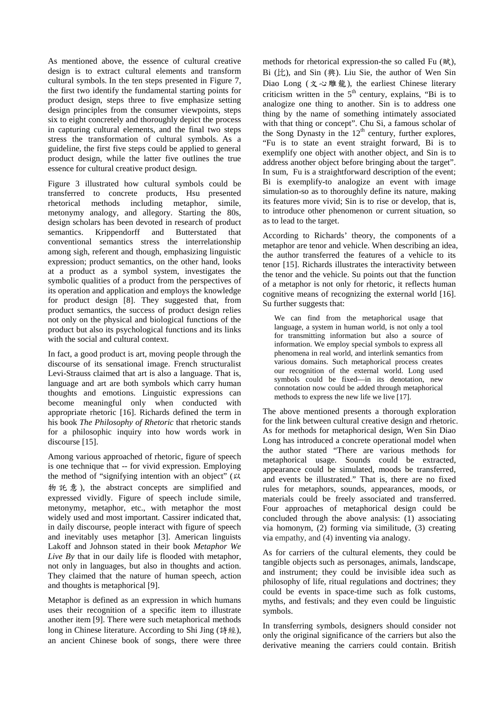As mentioned above, the essence of cultural creative design is to extract cultural elements and transform cultural symbols. In the ten steps presented in Figure 7, the first two identify the fundamental starting points for product design, steps three to five emphasize setting design principles from the consumer viewpoints, steps six to eight concretely and thoroughly depict the process in capturing cultural elements, and the final two steps stress the transformation of cultural symbols. As a guideline, the first five steps could be applied to general product design, while the latter five outlines the true essence for cultural creative product design.

Figure 3 illustrated how cultural symbols could be transferred to concrete products, Hsu presented rhetorical methods including metaphor, simile, metonymy analogy, and allegory. Starting the 80s, design scholars has been devoted in research of product semantics. Krippendorff and Butterstated that conventional semantics stress the interrelationship among sigh, referent and though, emphasizing linguistic expression; product semantics, on the other hand, looks at a product as a symbol system, investigates the symbolic qualities of a product from the perspectives of its operation and application and employs the knowledge for product design [8]. They suggested that, from product semantics, the success of product design relies not only on the physical and biological functions of the product but also its psychological functions and its links with the social and cultural context.

In fact, a good product is art, moving people through the discourse of its sensational image. French structuralist Levi-Strauss claimed that art is also a language. That is, language and art are both symbols which carry human thoughts and emotions. Linguistic expressions can become meaningful only when conducted with appropriate rhetoric [16]. Richards defined the term in his book *The Philosophy of Rhetoric* that rhetoric stands for a philosophic inquiry into how words work in discourse [15].

Among various approached of rhetoric, figure of speech is one technique that -- for vivid expression. Employing the method of "signifying intention with an object" (以 物 託 意 ), the abstract concepts are simplified and expressed vividly. Figure of speech include simile, metonymy, metaphor, etc., with metaphor the most widely used and most important. Cassirer indicated that, in daily discourse, people interact with figure of speech and inevitably uses metaphor [3]. American linguists Lakoff and Johnson stated in their book *Metaphor We Live By* that in our daily life is flooded with metaphor, not only in languages, but also in thoughts and action. They claimed that the nature of human speech, action and thoughts is metaphorical [9].

Metaphor is defined as an expression in which humans uses their recognition of a specific item to illustrate another item [9]. There were such metaphorical methods long in Chinese literature. According to Shi Jing (詩經), an ancient Chinese book of songs, there were three

methods for rhetorical expression-the so called Fu (賦), Bi  $(\sharp \uparrow)$ , and Sin  $(\mathfrak{H})$ . Liu Sie, the author of Wen Sin Diao Long (文心雕龍), the earliest Chinese literary criticism written in the  $5<sup>th</sup>$  century, explains, "Bi is to analogize one thing to another. Sin is to address one thing by the name of something intimately associated with that thing or concept". Chu Si, a famous scholar of the Song Dynasty in the  $12<sup>th</sup>$  century, further explores, "Fu is to state an event straight forward, Bi is to exemplify one object with another object, and Sin is to address another object before bringing about the target". In sum, Fu is a straightforward description of the event; Bi is exemplify-to analogize an event with image simulation-so as to thoroughly define its nature, making its features more vivid; Sin is to rise or develop, that is, to introduce other phenomenon or current situation, so as to lead to the target.

According to Richards' theory, the components of a metaphor are tenor and vehicle. When describing an idea, the author transferred the features of a vehicle to its tenor [15]. Richards illustrates the interactivity between the tenor and the vehicle. Su points out that the function of a metaphor is not only for rhetoric, it reflects human cognitive means of recognizing the external world [16]. Su further suggests that:

We can find from the metaphorical usage that language, a system in human world, is not only a tool for transmitting information but also a source of information. We employ special symbols to express all phenomena in real world, and interlink semantics from various domains. Such metaphorical process creates our recognition of the external world. Long used symbols could be fixed—in its denotation, new connotation now could be added through metaphorical methods to express the new life we live [17].

The above mentioned presents a thorough exploration for the link between cultural creative design and rhetoric. As for methods for metaphorical design, Wen Sin Diao Long has introduced a concrete operational model when the author stated "There are various methods for metaphorical usage. Sounds could be extracted, appearance could be simulated, moods be transferred, and events be illustrated." That is, there are no fixed rules for metaphors, sounds, appearances, moods, or materials could be freely associated and transferred. Four approaches of metaphorical design could be concluded through the above analysis: (1) associating via homonym, (2) forming via similitude, (3) creating via empathy, and (4) inventing via analogy.

As for carriers of the cultural elements, they could be tangible objects such as personages, animals, landscape, and instrument; they could be invisible idea such as philosophy of life, ritual regulations and doctrines; they could be events in space-time such as folk customs, myths, and festivals; and they even could be linguistic symbols.

In transferring symbols, designers should consider not only the original significance of the carriers but also the derivative meaning the carriers could contain. British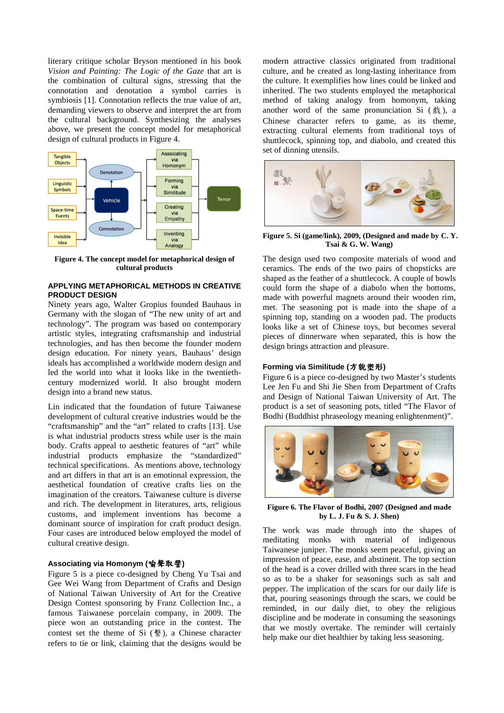literary critique scholar Bryson mentioned in his book *Vision and Painting: The Logic of the Gaze* that art is the combination of cultural signs, stressing that the connotation and denotation a symbol carries is symbiosis [1]. Connotation reflects the true value of art, demanding viewers to observe and interpret the art from the cultural background. Synthesizing the analyses above, we present the concept model for metaphorical design of cultural products in Figure 4.



**Figure 4. The concept model for metaphorical design of cultural products** 

#### **APPLYING METAPHORICAL METHODS IN CREATIVE PRODUCT DESIGN**

Ninety years ago, Walter Gropius founded Bauhaus in Germany with the slogan of "The new unity of art and technology". The program was based on contemporary artistic styles, integrating craftsmanship and industrial technologies, and has then become the founder modern design education. For ninety years, Bauhaus' design ideals has accomplished a worldwide modern design and led the world into what it looks like in the twentiethcentury modernized world. It also brought modern design into a brand new status.

Lin indicated that the foundation of future Taiwanese development of cultural creative industries would be the "craftsmanship" and the "art" related to crafts [13]. Use is what industrial products stress while user is the main body. Crafts appeal to aesthetic features of "art" while industrial products emphasize the "standardized" technical specifications. As mentions above, technology and art differs in that art is an emotional expression, the aesthetical foundation of creative crafts lies on the imagination of the creators. Taiwanese culture is diverse and rich. The development in literatures, arts, religious customs, and implement inventions has become a dominant source of inspiration for craft product design. Four cases are introduced below employed the model of cultural creative design.

#### **Associating via Homonym (**喻聲取譬**)**

Figure 5 is a piece co-designed by Cheng Yu Tsai and Gee Wei Wang from Department of Crafts and Design of National Taiwan University of Art for the Creative Design Contest sponsoring by Franz Collection Inc., a famous Taiwanese porcelain company, in 2009. The piece won an outstanding price in the contest. The contest set the theme of Si (繫), a Chinese character refers to tie or link, claiming that the designs would be

modern attractive classics originated from traditional culture, and be created as long-lasting inheritance from the culture. It exemplifies how lines could be linked and inherited. The two students employed the metaphorical method of taking analogy from homonym, taking another word of the same pronunciation Si  $(\&)$ , a Chinese character refers to game, as its theme, extracting cultural elements from traditional toys of shuttlecock, spinning top, and diabolo, and created this set of dinning utensils.



**Figure 5. Si (game/link), 2009, (Designed and made by C. Y. Tsai & G. W. Wang)** 

The design used two composite materials of wood and ceramics. The ends of the two pairs of chopsticks are shaped as the feather of a shuttlecock. A couple of bowls could form the shape of a diabolo when the bottoms, made with powerful magnets around their wooden rim, met. The seasoning pot is made into the shape of a spinning top, standing on a wooden pad. The products looks like a set of Chinese toys, but becomes several pieces of dinnerware when separated, this is how the design brings attraction and pleasure.

#### **Forming via Similitude (**方貌塑形**)**

Figure 6 is a piece co-designed by two Master's students Lee Jen Fu and Shi Jie Shen from Department of Crafts and Design of National Taiwan University of Art. The product is a set of seasoning pots, titled "The Flavor of Bodhi (Buddhist phraseology meaning enlightenment)".



**Figure 6. The Flavor of Bodhi, 2007 (Designed and made by L. J. Fu & S. J. Shen)** 

The work was made through into the shapes of meditating monks with material of indigenous Taiwanese juniper. The monks seem peaceful, giving an impression of peace, ease, and abstinent. The top section of the head is a cover drilled with three scars in the head so as to be a shaker for seasonings such as salt and pepper. The implication of the scars for our daily life is that, pouring seasonings through the scars, we could be reminded, in our daily diet, to obey the religious discipline and be moderate in consuming the seasonings that we mostly overtake. The reminder will certainly help make our diet healthier by taking less seasoning.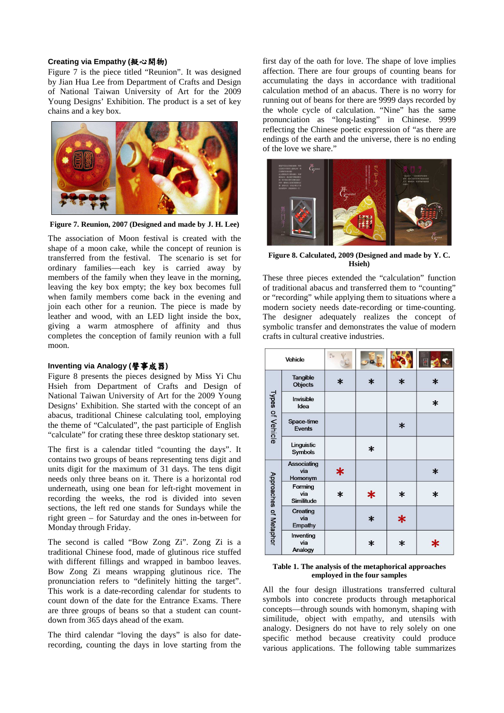#### **Creating via Empathy (**擬心開物**)**

Figure 7 is the piece titled "Reunion". It was designed by Jian Hua Lee from Department of Crafts and Design of National Taiwan University of Art for the 2009 Young Designs' Exhibition. The product is a set of key chains and a key box.



**Figure 7. Reunion, 2007 (Designed and made by J. H. Lee)** 

The association of Moon festival is created with the shape of a moon cake, while the concept of reunion is transferred from the festival. The scenario is set for ordinary families—each key is carried away by members of the family when they leave in the morning, leaving the key box empty; the key box becomes full when family members come back in the evening and join each other for a reunion. The piece is made by leather and wood, with an LED light inside the box, giving a warm atmosphere of affinity and thus completes the conception of family reunion with a full moon.

## **Inventing via Analogy (**譬事成器**)**

Figure 8 presents the pieces designed by Miss Yi Chu Hsieh from Department of Crafts and Design of National Taiwan University of Art for the 2009 Young Designs' Exhibition. She started with the concept of an abacus, traditional Chinese calculating tool, employing the theme of "Calculated", the past participle of English "calculate" for crating these three desktop stationary set.

The first is a calendar titled "counting the days". It contains two groups of beans representing tens digit and units digit for the maximum of 31 days. The tens digit needs only three beans on it. There is a horizontal rod underneath, using one bean for left-right movement in recording the weeks, the rod is divided into seven sections, the left red one stands for Sundays while the right green – for Saturday and the ones in-between for Monday through Friday.

The second is called "Bow Zong Zi". Zong Zi is a traditional Chinese food, made of glutinous rice stuffed with different fillings and wrapped in bamboo leaves. Bow Zong Zi means wrapping glutinous rice. The pronunciation refers to "definitely hitting the target". This work is a date-recording calendar for students to count down of the date for the Entrance Exams. There are three groups of beans so that a student can countdown from 365 days ahead of the exam.

The third calendar "loving the days" is also for daterecording, counting the days in love starting from the first day of the oath for love. The shape of love implies affection. There are four groups of counting beans for accumulating the days in accordance with traditional calculation method of an abacus. There is no worry for running out of beans for there are 9999 days recorded by the whole cycle of calculation. "Nine" has the same pronunciation as "long-lasting" in Chinese. 9999 reflecting the Chinese poetic expression of "as there are endings of the earth and the universe, there is no ending of the love we share."



**Figure 8. Calculated, 2009 (Designed and made by Y. C. Hsieh)** 

These three pieces extended the "calculation" function of traditional abacus and transferred them to "counting" or "recording" while applying them to situations where a modern society needs date-recording or time-counting. The designer adequately realizes the concept of symbolic transfer and demonstrates the value of modern crafts in cultural creative industries.

| Vehicle                |                               | 高尔     |        |        |        |
|------------------------|-------------------------------|--------|--------|--------|--------|
| Types of Vehicle       | Tangible<br><b>Objects</b>    | $\ast$ | $\ast$ | $\ast$ | $\ast$ |
|                        | Invisible<br>Idea             |        |        |        | $\ast$ |
|                        | Space-time<br>Events          |        |        | $\ast$ |        |
|                        | Linguistic<br>Symbols         |        | $\ast$ |        |        |
| Approaches of Metaphor | Associating<br>via<br>Homonym | ∗      |        |        | $\ast$ |
|                        | Forming<br>via<br>Similitude  | $\ast$ | ∗      | $\ast$ | $\ast$ |
|                        | Creating<br>via<br>Empathy    |        | $\ast$ | ∗      |        |
|                        | Inventing<br>via<br>Analogy   |        | $\ast$ | $\ast$ | Ж      |

#### **Table 1. The analysis of the metaphorical approaches employed in the four samples**

All the four design illustrations transferred cultural symbols into concrete products through metaphorical concepts—through sounds with homonym, shaping with similitude, object with empathy, and utensils with analogy. Designers do not have to rely solely on one specific method because creativity could produce various applications. The following table summarizes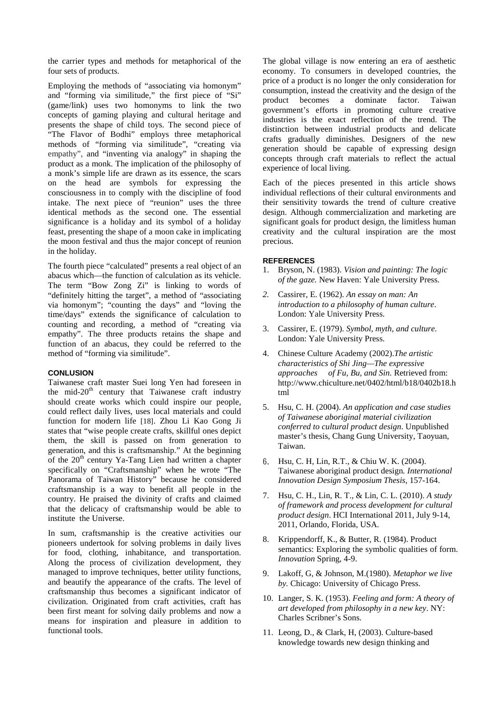the carrier types and methods for metaphorical of the four sets of products.

Employing the methods of "associating via homonym" and "forming via similitude," the first piece of "Si" (game/link) uses two homonyms to link the two concepts of gaming playing and cultural heritage and presents the shape of child toys. The second piece of "The Flavor of Bodhi" employs three metaphorical methods of "forming via similitude", "creating via empathy", and "inventing via analogy" in shaping the product as a monk. The implication of the philosophy of a monk's simple life are drawn as its essence, the scars on the head are symbols for expressing the consciousness in to comply with the discipline of food intake. The next piece of "reunion" uses the three identical methods as the second one. The essential significance is a holiday and its symbol of a holiday feast, presenting the shape of a moon cake in implicating the moon festival and thus the major concept of reunion in the holiday.

The fourth piece "calculated" presents a real object of an abacus which—the function of calculation as its vehicle. The term "Bow Zong Zi" is linking to words of "definitely hitting the target", a method of "associating via homonym"; "counting the days" and "loving the time/days" extends the significance of calculation to counting and recording, a method of "creating via empathy". The three products retains the shape and function of an abacus, they could be referred to the method of "forming via similitude".

## **CONLUSION**

Taiwanese craft master Suei long Yen had foreseen in the mid- $20<sup>th</sup>$  century that Taiwanese craft industry should create works which could inspire our people, could reflect daily lives, uses local materials and could function for modern life [18]. Zhou Li Kao Gong Ji states that "wise people create crafts, skillful ones depict them, the skill is passed on from generation to generation, and this is craftsmanship." At the beginning of the  $20<sup>th</sup>$  century Ya-Tang Lien had written a chapter specifically on "Craftsmanship" when he wrote "The Panorama of Taiwan History" because he considered craftsmanship is a way to benefit all people in the country. He praised the divinity of crafts and claimed that the delicacy of craftsmanship would be able to institute the Universe.

In sum, craftsmanship is the creative activities our pioneers undertook for solving problems in daily lives for food, clothing, inhabitance, and transportation. Along the process of civilization development, they managed to improve techniques, better utility functions, and beautify the appearance of the crafts. The level of craftsmanship thus becomes a significant indicator of civilization. Originated from craft activities, craft has been first meant for solving daily problems and now a means for inspiration and pleasure in addition to functional tools.

The global village is now entering an era of aesthetic economy. To consumers in developed countries, the price of a product is no longer the only consideration for consumption, instead the creativity and the design of the product becomes a dominate factor. Taiwan government's efforts in promoting culture creative industries is the exact reflection of the trend. The distinction between industrial products and delicate crafts gradually diminishes. Designers of the new generation should be capable of expressing design concepts through craft materials to reflect the actual experience of local living.

Each of the pieces presented in this article shows individual reflections of their cultural environments and their sensitivity towards the trend of culture creative design. Although commercialization and marketing are significant goals for product design, the limitless human creativity and the cultural inspiration are the most precious.

#### **REFERENCES**

- 1. Bryson, N. (1983). *Vision and painting: The logic of the gaze.* New Haven: Yale University Press.
- *2.* Cassirer, E. (1962). *An essay on man: An introduction to a philosophy of human culture*. London: Yale University Press.
- 3. Cassirer, E. (1979). *Symbol, myth, and culture.*  London: Yale University Press.
- 4. Chinese Culture Academy (2002).*The artistic characteristics of Shi Jing—The expressive approaches of Fu, Bu, and Sin.* Retrieved from: http://www.chiculture.net/0402/html/b18/0402b18.h tml
- 5. Hsu, C. H. (2004). *An application and case studies of Taiwanese aboriginal material civilization conferred to cultural product design*. Unpublished master's thesis, Chang Gung University, Taoyuan, Taiwan.
- 6. Hsu, C. H, Lin, R.T., & Chiu W. K. (2004). Taiwanese aboriginal product design*. International Innovation Design Symposium Thesis*, 157-164.
- 7. Hsu, C. H., Lin, R. T., & Lin, C. L. (2010). *A study of framework and process development for cultural product design*. HCI International 2011, July 9-14, 2011, Orlando, Florida, USA.
- 8. Krippendorff, K., & Butter, R. (1984). Product semantics: Exploring the symbolic qualities of form. *Innovation* Spring, 4-9.
- 9. Lakoff, G, & Johnson, M.(1980). *Metaphor we live by.* Chicago: University of Chicago Press.
- 10. Langer, S. K. (1953). *Feeling and form: A theory of art developed from philosophy in a new key*. NY: Charles Scribner's Sons.
- 11. Leong, D., & Clark, H, (2003). Culture-based knowledge towards new design thinking and